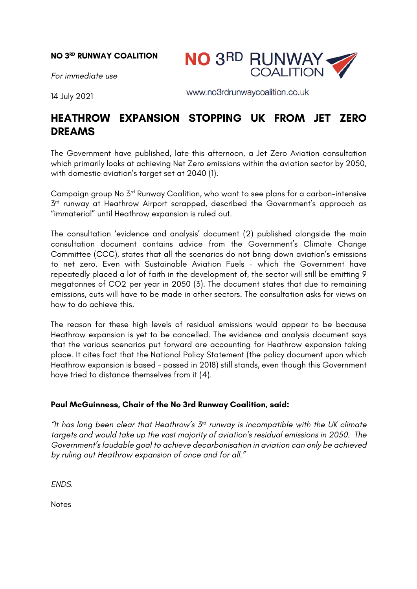## **NO 3RD RUNWAY COALITION**



*For immediate use*

14 July 2021

www.no3rdrunwaycoalition.co.uk

## **HEATHROW EXPANSION STOPPING UK FROM JET ZERO DREAMS**

The Government have published, late this afternoon, a Jet Zero Aviation consultation which primarily looks at achieving Net Zero emissions within the aviation sector by 2050, with domestic aviation's target set at 2040 (1).

Campaign group No 3rd Runway Coalition, who want to see plans for a carbon-intensive  $3<sup>rd</sup>$  runway at Heathrow Airport scrapped, described the Government's approach as "immaterial" until Heathrow expansion is ruled out.

The consultation 'evidence and analysis' document (2) published alongside the main consultation document contains advice from the Government's Climate Change Committee (CCC), states that all the scenarios do not bring down aviation's emissions to net zero. Even with Sustainable Aviation Fuels – which the Government have repeatedly placed a lot of faith in the development of, the sector will still be emitting 9 megatonnes of CO2 per year in 2050 (3). The document states that due to remaining emissions, cuts will have to be made in other sectors. The consultation asks for views on how to do achieve this.

The reason for these high levels of residual emissions would appear to be because Heathrow expansion is yet to be cancelled. The evidence and analysis document says that the various scenarios put forward are accounting for Heathrow expansion taking place. It cites fact that the National Policy Statement (the policy document upon which Heathrow expansion is based – passed in 2018) still stands, even though this Government have tried to distance themselves from it (4).

## **Paul McGuinness, Chair of the No 3rd Runway Coalition, said:**

*"It has long been clear that Heathrow's 3rd runway is incompatible with the UK climate targets and would take up the vast majority of aviation's residual emissions in 2050. The Government's laudable goal to achieve decarbonisation in aviation can only be achieved by ruling out Heathrow expansion of once and for all."*

*ENDS.*

**Notes**